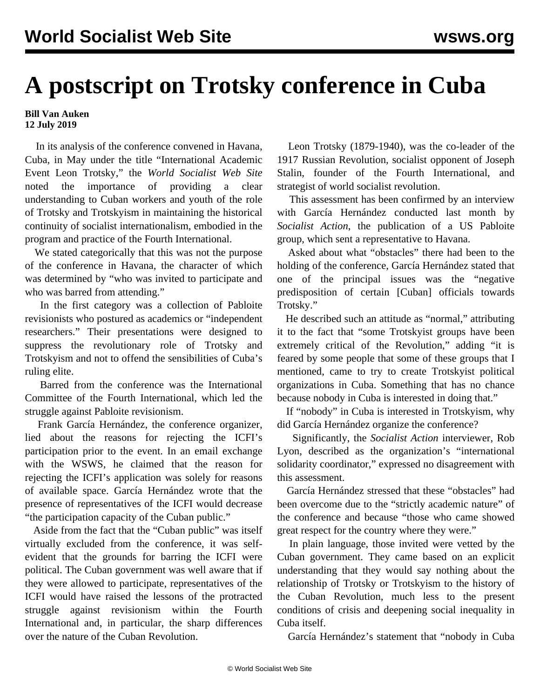## **A postscript on Trotsky conference in Cuba**

**Bill Van Auken 12 July 2019**

 In its [analysis of the conference](/en/articles/2019/06/13/cuba-j13.html) convened in Havana, Cuba, in May under the title "International Academic Event Leon Trotsky," the *World Socialist Web Site* noted the importance of providing a clear understanding to Cuban workers and youth of the role of Trotsky and Trotskyism in maintaining the historical continuity of socialist internationalism, embodied in the program and practice of the Fourth International.

 We stated categorically that this was not the purpose of the conference in Havana, the character of which was determined by "who was invited to participate and who was barred from attending."

 In the first category was a collection of Pabloite revisionists who postured as academics or "independent researchers." Their presentations were designed to suppress the revolutionary role of Trotsky and Trotskyism and not to offend the sensibilities of Cuba's ruling elite.

 Barred from the conference was the International Committee of the Fourth International, which led the struggle against Pabloite revisionism.

 Frank García Hernández, the conference organizer, lied about the reasons for rejecting the ICFI's participation prior to the event. In an email exchange with the WSWS, he claimed that the reason for rejecting the ICFI's application was solely for reasons of available space. García Hernández wrote that the presence of representatives of the ICFI would decrease "the participation capacity of the Cuban public."

 Aside from the fact that the "Cuban public" was itself virtually excluded from the conference, it was selfevident that the grounds for barring the ICFI were political. The Cuban government was well aware that if they were allowed to participate, representatives of the ICFI would have raised the lessons of the protracted struggle against revisionism within the Fourth International and, in particular, the sharp differences over the nature of the Cuban Revolution.

 Leon Trotsky (1879-1940), was the co-leader of the 1917 Russian Revolution, socialist opponent of Joseph Stalin, founder of the Fourth International, and strategist of world socialist revolution.

 This assessment has been confirmed by an interview with García Hernández conducted last month by *Socialist Action*, the publication of a US Pabloite group, which sent a representative to Havana.

 Asked about what "obstacles" there had been to the holding of the conference, García Hernández stated that one of the principal issues was the "negative predisposition of certain [Cuban] officials towards Trotsky."

 He described such an attitude as "normal," attributing it to the fact that "some Trotskyist groups have been extremely critical of the Revolution," adding "it is feared by some people that some of these groups that I mentioned, came to try to create Trotskyist political organizations in Cuba. Something that has no chance because nobody in Cuba is interested in doing that."

 If "nobody" in Cuba is interested in Trotskyism, why did García Hernández organize the conference?

 Significantly, the *Socialist Action* interviewer, Rob Lyon, described as the organization's "international solidarity coordinator," expressed no disagreement with this assessment.

 García Hernández stressed that these "obstacles" had been overcome due to the "strictly academic nature" of the conference and because "those who came showed great respect for the country where they were."

 In plain language, those invited were vetted by the Cuban government. They came based on an explicit understanding that they would say nothing about the relationship of Trotsky or Trotskyism to the history of the Cuban Revolution, much less to the present conditions of crisis and deepening social inequality in Cuba itself.

García Hernández's statement that "nobody in Cuba